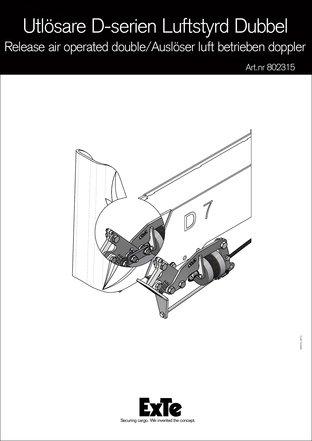## Utlösare D-serien Luftstyrd Dubbel

Release air operated double/Auslöser luft betrieben doppler

Art.nr 802315